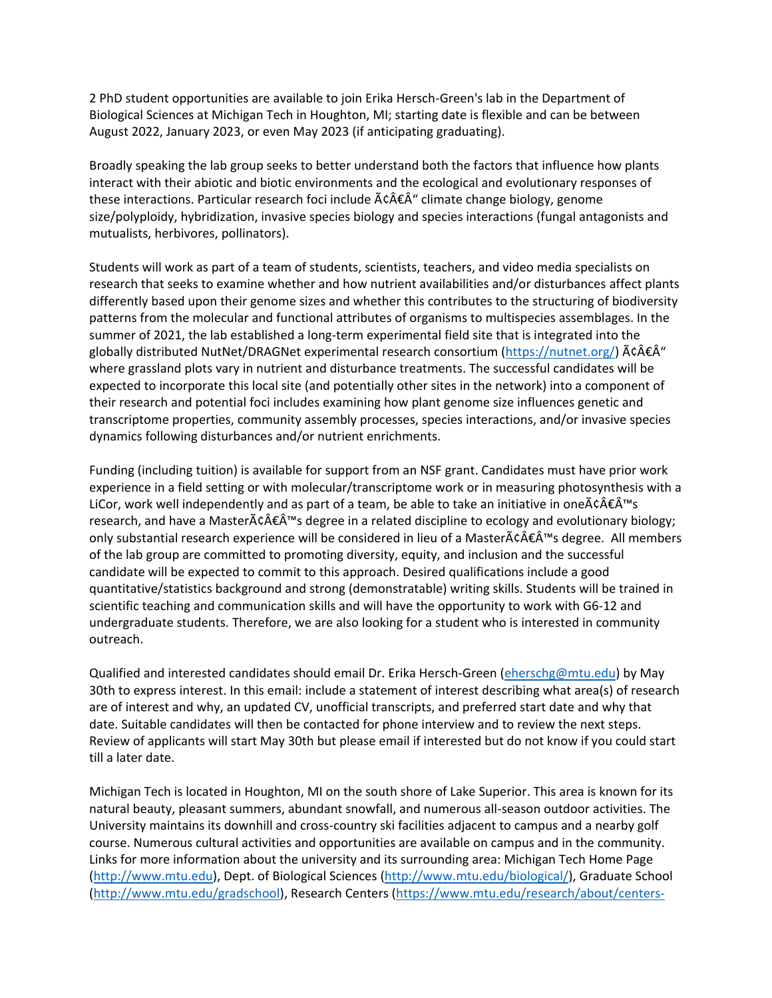2 PhD student opportunities are available to join Erika Hersch-Green's lab in the Department of Biological Sciences at Michigan Tech in Houghton, MI; starting date is flexible and can be between August 2022, January 2023, or even May 2023 (if anticipating graduating).

Broadly speaking the lab group seeks to better understand both the factors that influence how plants interact with their abiotic and biotic environments and the ecological and evolutionary responses of these interactions. Particular research foci include  $\tilde{A}c\hat{A}\hat{\epsilon}\hat{A}^{\prime\prime}$  climate change biology, genome size/polyploidy, hybridization, invasive species biology and species interactions (fungal antagonists and mutualists, herbivores, pollinators).

Students will work as part of a team of students, scientists, teachers, and video media specialists on research that seeks to examine whether and how nutrient availabilities and/or disturbances affect plants differently based upon their genome sizes and whether this contributes to the structuring of biodiversity patterns from the molecular and functional attributes of organisms to multispecies assemblages. In the summer of 2021, the lab established a long-term experimental field site that is integrated into the globally distributed NutNet/DRAGNet experimental research consortium ( $\frac{\text{https://number.org/}{\text{https://number.org/}{\text{A}}\hat{\epsilon} \hat{\epsilon}}^{\hat{\alpha}}$ " where grassland plots vary in nutrient and disturbance treatments. The successful candidates will be expected to incorporate this local site (and potentially other sites in the network) into a component of their research and potential foci includes examining how plant genome size influences genetic and transcriptome properties, community assembly processes, species interactions, and/or invasive species dynamics following disturbances and/or nutrient enrichments.

Funding (including tuition) is available for support from an NSF grant. Candidates must have prior work experience in a field setting or with molecular/transcriptome work or in measuring photosynthesis with a LiCor, work well independently and as part of a team, be able to take an initiative in one $\tilde{A}\tilde{c}\hat{A}\tilde{c}\hat{A}^{\text{TM}}$ s research, and have a Master $\tilde{A}\tilde{c} \hat{A} \tilde{\epsilon} \hat{A}$ <sup>rm</sup>s degree in a related discipline to ecology and evolutionary biology; only substantial research experience will be considered in lieu of a Master $\tilde{A}\tilde{c}\hat{A}\tilde{\epsilon}\hat{A}^{\text{TM}}$ s degree. All members of the lab group are committed to promoting diversity, equity, and inclusion and the successful candidate will be expected to commit to this approach. Desired qualifications include a good quantitative/statistics background and strong (demonstratable) writing skills. Students will be trained in scientific teaching and communication skills and will have the opportunity to work with G6-12 and undergraduate students. Therefore, we are also looking for a student who is interested in community outreach.

Qualified and interested candidates should email Dr. Erika Hersch-Green [\(eherschg@mtu.edu\)](mailto:eherschg@mtu.edu) by May 30th to express interest. In this email: include a statement of interest describing what area(s) of research are of interest and why, an updated CV, unofficial transcripts, and preferred start date and why that date. Suitable candidates will then be contacted for phone interview and to review the next steps. Review of applicants will start May 30th but please email if interested but do not know if you could start till a later date.

Michigan Tech is located in Houghton, MI on the south shore of Lake Superior. This area is known for its natural beauty, pleasant summers, abundant snowfall, and numerous all-season outdoor activities. The University maintains its downhill and cross-country ski facilities adjacent to campus and a nearby golf course. Numerous cultural activities and opportunities are available on campus and in the community. Links for more information about the university and its surrounding area: Michigan Tech Home Page [\(http://www.mtu.edu\)](http://www.mtu.edu/), Dept. of Biological Sciences [\(http://www.mtu.edu/biological/\)](http://www.mtu.edu/biological/), Graduate School [\(http://www.mtu.edu/gradschool\)](http://www.mtu.edu/gradschool), Research Centers [\(https://www.mtu.edu/research/about/centers-](https://www.mtu.edu/research/about/centers-institutes/)